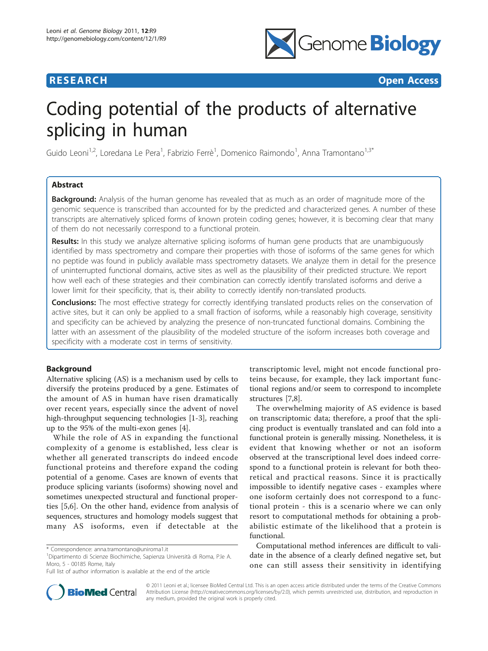

**RESEARCH CONSTRUCTION CONSTRUCTS** 

# Coding potential of the products of alternative splicing in human

Guido Leoni<sup>1,2</sup>, Loredana Le Pera<sup>1</sup>, Fabrizio Ferrè<sup>1</sup>, Domenico Raimondo<sup>1</sup>, Anna Tramontano<sup>1,3\*</sup>

# Abstract

**Background:** Analysis of the human genome has revealed that as much as an order of magnitude more of the genomic sequence is transcribed than accounted for by the predicted and characterized genes. A number of these transcripts are alternatively spliced forms of known protein coding genes; however, it is becoming clear that many of them do not necessarily correspond to a functional protein.

Results: In this study we analyze alternative splicing isoforms of human gene products that are unambiguously identified by mass spectrometry and compare their properties with those of isoforms of the same genes for which no peptide was found in publicly available mass spectrometry datasets. We analyze them in detail for the presence of uninterrupted functional domains, active sites as well as the plausibility of their predicted structure. We report how well each of these strategies and their combination can correctly identify translated isoforms and derive a lower limit for their specificity, that is, their ability to correctly identify non-translated products.

Conclusions: The most effective strategy for correctly identifying translated products relies on the conservation of active sites, but it can only be applied to a small fraction of isoforms, while a reasonably high coverage, sensitivity and specificity can be achieved by analyzing the presence of non-truncated functional domains. Combining the latter with an assessment of the plausibility of the modeled structure of the isoform increases both coverage and specificity with a moderate cost in terms of sensitivity.

# Background

Alternative splicing (AS) is a mechanism used by cells to diversify the proteins produced by a gene. Estimates of the amount of AS in human have risen dramatically over recent years, especially since the advent of novel high-throughput sequencing technologies [[1-3](#page-9-0)], reaching up to the 95% of the multi-exon genes [\[4\]](#page-9-0).

While the role of AS in expanding the functional complexity of a genome is established, less clear is whether all generated transcripts do indeed encode functional proteins and therefore expand the coding potential of a genome. Cases are known of events that produce splicing variants (isoforms) showing novel and sometimes unexpected structural and functional properties [[5,6\]](#page-9-0). On the other hand, evidence from analysis of sequences, structures and homology models suggest that many AS isoforms, even if detectable at the

1 Dipartimento di Scienze Biochimiche, Sapienza Università di Roma, P.le A. Moro, 5 - 00185 Rome, Italy

transcriptomic level, might not encode functional proteins because, for example, they lack important functional regions and/or seem to correspond to incomplete structures [[7](#page-9-0),[8\]](#page-9-0).

The overwhelming majority of AS evidence is based on transcriptomic data; therefore, a proof that the splicing product is eventually translated and can fold into a functional protein is generally missing. Nonetheless, it is evident that knowing whether or not an isoform observed at the transcriptional level does indeed correspond to a functional protein is relevant for both theoretical and practical reasons. Since it is practically impossible to identify negative cases - examples where one isoform certainly does not correspond to a functional protein - this is a scenario where we can only resort to computational methods for obtaining a probabilistic estimate of the likelihood that a protein is functional.

Computational method inferences are difficult to validate in the absence of a clearly defined negative set, but one can still assess their sensitivity in identifying



© 2011 Leoni et al.; licensee BioMed Central Ltd. This is an open access article distributed under the terms of the Creative Commons Attribution License [\(http://creativecommons.org/licenses/by/2.0](http://creativecommons.org/licenses/by/2.0)), which permits unrestricted use, distribution, and reproduction in any medium, provided the original work is properly cited.

<sup>\*</sup> Correspondence: [anna.tramontano@uniroma1.it](mailto:anna.tramontano@uniroma1.it)

Full list of author information is available at the end of the article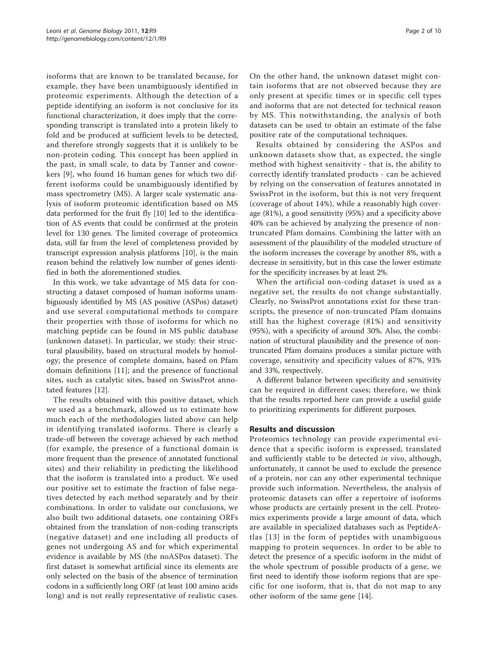isoforms that are known to be translated because, for example, they have been unambiguously identified in proteomic experiments. Although the detection of a peptide identifying an isoform is not conclusive for its functional characterization, it does imply that the corresponding transcript is translated into a protein likely to fold and be produced at sufficient levels to be detected, and therefore strongly suggests that it is unlikely to be non-protein coding. This concept has been applied in the past, in small scale, to data by Tanner and coworkers [\[9](#page-9-0)], who found 16 human genes for which two different isoforms could be unambiguously identified by mass spectrometry (MS). A larger scale systematic analysis of isoform proteomic identification based on MS data performed for the fruit fly [[10](#page-9-0)] led to the identification of AS events that could be confirmed at the protein level for 130 genes. The limited coverage of proteomics data, still far from the level of completeness provided by transcript expression analysis platforms [[10\]](#page-9-0), is the main reason behind the relatively low number of genes identified in both the aforementioned studies.

In this work, we take advantage of MS data for constructing a dataset composed of human isoforms unambiguously identified by MS (AS positive (ASPos) dataset) and use several computational methods to compare their properties with those of isoforms for which no matching peptide can be found in MS public database (unknown dataset). In particular, we study: their structural plausibility, based on structural models by homology; the presence of complete domains, based on Pfam domain definitions [[11\]](#page-9-0); and the presence of functional sites, such as catalytic sites, based on SwissProt annotated features [\[12](#page-9-0)].

The results obtained with this positive dataset, which we used as a benchmark, allowed us to estimate how much each of the methodologies listed above can help in identifying translated isoforms. There is clearly a trade-off between the coverage achieved by each method (for example, the presence of a functional domain is more frequent than the presence of annotated functional sites) and their reliability in predicting the likelihood that the isoform is translated into a product. We used our positive set to estimate the fraction of false negatives detected by each method separately and by their combinations. In order to validate our conclusions, we also built two additional datasets, one containing ORFs obtained from the translation of non-coding transcripts (negative dataset) and one including all products of genes not undergoing AS and for which experimental evidence is available by MS (the noASPos dataset). The first dataset is somewhat artificial since its elements are only selected on the basis of the absence of termination codons in a sufficiently long ORF (at least 100 amino acids long) and is not really representative of realistic cases.

On the other hand, the unknown dataset might contain isoforms that are not observed because they are only present at specific times or in specific cell types and isoforms that are not detected for technical reason by MS. This notwithstanding, the analysis of both datasets can be used to obtain an estimate of the false positive rate of the computational techniques.

Results obtained by considering the ASPos and unknown datasets show that, as expected, the single method with highest sensitivity - that is, the ability to correctly identify translated products - can be achieved by relying on the conservation of features annotated in SwissProt in the isoform, but this is not very frequent (coverage of about 14%), while a reasonably high coverage (81%), a good sensitivity (95%) and a specificity above 40% can be achieved by analyzing the presence of nontruncated Pfam domains. Combining the latter with an assessment of the plausibility of the modeled structure of the isoform increases the coverage by another 8%, with a decrease in sensitivity, but in this case the lower estimate for the specificity increases by at least 2%.

When the artificial non-coding dataset is used as a negative set, the results do not change substantially. Clearly, no SwissProt annotations exist for these transcripts, the presence of non-truncated Pfam domains still has the highest coverage (81%) and sensitivity (95%), with a specificity of around 30%. Also, the combination of structural plausibility and the presence of nontruncated Pfam domains produces a similar picture with coverage, sensitivity and specificity values of 87%, 93% and 33%, respectively.

A different balance between specificity and sensitivity can be required in different cases; therefore, we think that the results reported here can provide a useful guide to prioritizing experiments for different purposes.

# Results and discussion

Proteomics technology can provide experimental evidence that a specific isoform is expressed, translated and sufficiently stable to be detected in vivo, although, unfortunately, it cannot be used to exclude the presence of a protein, nor can any other experimental technique provide such information. Nevertheless, the analysis of proteomic datasets can offer a repertoire of isoforms whose products are certainly present in the cell. Proteomics experiments provide a large amount of data, which are available in specialized databases such as PeptideAtlas [[13](#page-9-0)] in the form of peptides with unambiguous mapping to protein sequences. In order to be able to detect the presence of a specific isoform in the midst of the whole spectrum of possible products of a gene, we first need to identify those isoform regions that are specific for one isoform, that is, that do not map to any other isoform of the same gene [\[14](#page-9-0)].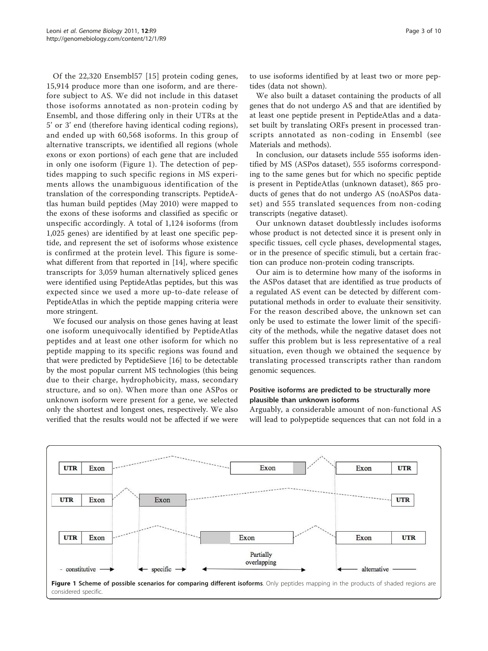Of the 22,320 Ensembl57 [[15](#page-9-0)] protein coding genes, 15,914 produce more than one isoform, and are therefore subject to AS. We did not include in this dataset those isoforms annotated as non-protein coding by Ensembl, and those differing only in their UTRs at the 5' or 3' end (therefore having identical coding regions), and ended up with 60,568 isoforms. In this group of alternative transcripts, we identified all regions (whole exons or exon portions) of each gene that are included in only one isoform (Figure 1). The detection of peptides mapping to such specific regions in MS experiments allows the unambiguous identification of the translation of the corresponding transcripts. PeptideAtlas human build peptides (May 2010) were mapped to the exons of these isoforms and classified as specific or unspecific accordingly. A total of 1,124 isoforms (from 1,025 genes) are identified by at least one specific peptide, and represent the set of isoforms whose existence is confirmed at the protein level. This figure is somewhat different from that reported in [[14](#page-9-0)], where specific transcripts for 3,059 human alternatively spliced genes were identified using PeptideAtlas peptides, but this was expected since we used a more up-to-date release of PeptideAtlas in which the peptide mapping criteria were more stringent.

We focused our analysis on those genes having at least one isoform unequivocally identified by PeptideAtlas peptides and at least one other isoform for which no peptide mapping to its specific regions was found and that were predicted by PeptideSieve [\[16](#page-9-0)] to be detectable by the most popular current MS technologies (this being due to their charge, hydrophobicity, mass, secondary structure, and so on). When more than one ASPos or unknown isoform were present for a gene, we selected only the shortest and longest ones, respectively. We also verified that the results would not be affected if we were

to use isoforms identified by at least two or more peptides (data not shown).

We also built a dataset containing the products of all genes that do not undergo AS and that are identified by at least one peptide present in PeptideAtlas and a dataset built by translating ORFs present in processed transcripts annotated as non-coding in Ensembl (see Materials and methods).

In conclusion, our datasets include 555 isoforms identified by MS (ASPos dataset), 555 isoforms corresponding to the same genes but for which no specific peptide is present in PeptideAtlas (unknown dataset), 865 products of genes that do not undergo AS (noASPos dataset) and 555 translated sequences from non-coding transcripts (negative dataset).

Our unknown dataset doubtlessly includes isoforms whose product is not detected since it is present only in specific tissues, cell cycle phases, developmental stages, or in the presence of specific stimuli, but a certain fraction can produce non-protein coding transcripts.

Our aim is to determine how many of the isoforms in the ASPos dataset that are identified as true products of a regulated AS event can be detected by different computational methods in order to evaluate their sensitivity. For the reason described above, the unknown set can only be used to estimate the lower limit of the specificity of the methods, while the negative dataset does not suffer this problem but is less representative of a real situation, even though we obtained the sequence by translating processed transcripts rather than random genomic sequences.

# Positive isoforms are predicted to be structurally more plausible than unknown isoforms

Arguably, a considerable amount of non-functional AS will lead to polypeptide sequences that can not fold in a



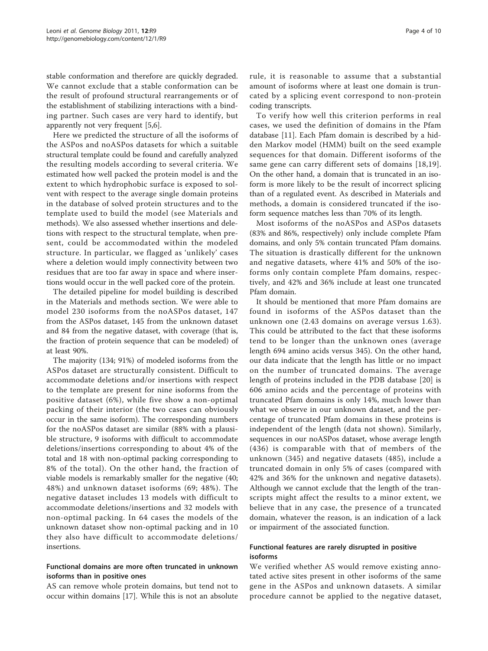stable conformation and therefore are quickly degraded. We cannot exclude that a stable conformation can be the result of profound structural rearrangements or of the establishment of stabilizing interactions with a binding partner. Such cases are very hard to identify, but apparently not very frequent [\[5,6](#page-9-0)].

Here we predicted the structure of all the isoforms of the ASPos and noASPos datasets for which a suitable structural template could be found and carefully analyzed the resulting models according to several criteria. We estimated how well packed the protein model is and the extent to which hydrophobic surface is exposed to solvent with respect to the average single domain proteins in the database of solved protein structures and to the template used to build the model (see Materials and methods). We also assessed whether insertions and deletions with respect to the structural template, when present, could be accommodated within the modeled structure. In particular, we flagged as 'unlikely' cases where a deletion would imply connectivity between two residues that are too far away in space and where insertions would occur in the well packed core of the protein.

The detailed pipeline for model building is described in the Materials and methods section. We were able to model 230 isoforms from the noASPos dataset, 147 from the ASPos dataset, 145 from the unknown dataset and 84 from the negative dataset, with coverage (that is, the fraction of protein sequence that can be modeled) of at least 90%.

The majority (134; 91%) of modeled isoforms from the ASPos dataset are structurally consistent. Difficult to accommodate deletions and/or insertions with respect to the template are present for nine isoforms from the positive dataset (6%), while five show a non-optimal packing of their interior (the two cases can obviously occur in the same isoform). The corresponding numbers for the noASPos dataset are similar (88% with a plausible structure, 9 isoforms with difficult to accommodate deletions/insertions corresponding to about 4% of the total and 18 with non-optimal packing corresponding to 8% of the total). On the other hand, the fraction of viable models is remarkably smaller for the negative (40; 48%) and unknown dataset isoforms (69; 48%). The negative dataset includes 13 models with difficult to accommodate deletions/insertions and 32 models with non-optimal packing. In 64 cases the models of the unknown dataset show non-optimal packing and in 10 they also have difficult to accommodate deletions/ insertions.

# Functional domains are more often truncated in unknown isoforms than in positive ones

AS can remove whole protein domains, but tend not to occur within domains [[17\]](#page-9-0). While this is not an absolute

rule, it is reasonable to assume that a substantial amount of isoforms where at least one domain is truncated by a splicing event correspond to non-protein coding transcripts.

To verify how well this criterion performs in real cases, we used the definition of domains in the Pfam database [[11\]](#page-9-0). Each Pfam domain is described by a hidden Markov model (HMM) built on the seed example sequences for that domain. Different isoforms of the same gene can carry different sets of domains [\[18](#page-9-0),[19](#page-9-0)]. On the other hand, a domain that is truncated in an isoform is more likely to be the result of incorrect splicing than of a regulated event. As described in Materials and methods, a domain is considered truncated if the isoform sequence matches less than 70% of its length.

Most isoforms of the noASPos and ASPos datasets (83% and 86%, respectively) only include complete Pfam domains, and only 5% contain truncated Pfam domains. The situation is drastically different for the unknown and negative datasets, where 41% and 50% of the isoforms only contain complete Pfam domains, respectively, and 42% and 36% include at least one truncated Pfam domain.

It should be mentioned that more Pfam domains are found in isoforms of the ASPos dataset than the unknown one (2.43 domains on average versus 1.63). This could be attributed to the fact that these isoforms tend to be longer than the unknown ones (average length 694 amino acids versus 345). On the other hand, our data indicate that the length has little or no impact on the number of truncated domains. The average length of proteins included in the PDB database [\[20](#page-9-0)] is 606 amino acids and the percentage of proteins with truncated Pfam domains is only 14%, much lower than what we observe in our unknown dataset, and the percentage of truncated Pfam domains in these proteins is independent of the length (data not shown). Similarly, sequences in our noASPos dataset, whose average length (436) is comparable with that of members of the unknown (345) and negative datasets (485), include a truncated domain in only 5% of cases (compared with 42% and 36% for the unknown and negative datasets). Although we cannot exclude that the length of the transcripts might affect the results to a minor extent, we believe that in any case, the presence of a truncated domain, whatever the reason, is an indication of a lack or impairment of the associated function.

# Functional features are rarely disrupted in positive isoforms

We verified whether AS would remove existing annotated active sites present in other isoforms of the same gene in the ASPos and unknown datasets. A similar procedure cannot be applied to the negative dataset,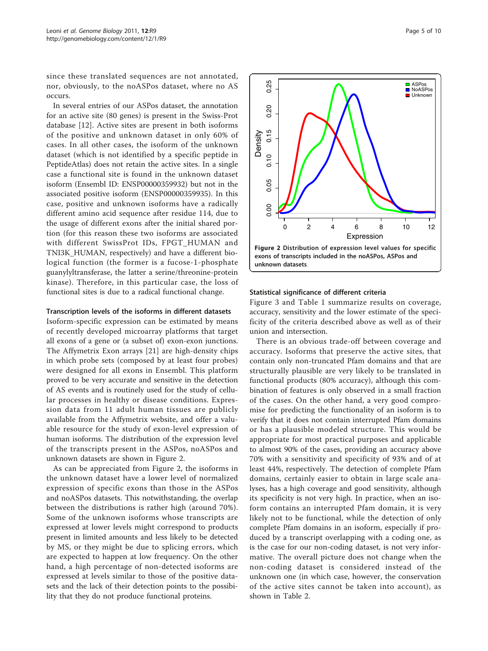since these translated sequences are not annotated, nor, obviously, to the noASPos dataset, where no AS occurs.

In several entries of our ASPos dataset, the annotation for an active site (80 genes) is present in the Swiss-Prot database [\[12](#page-9-0)]. Active sites are present in both isoforms of the positive and unknown dataset in only 60% of cases. In all other cases, the isoform of the unknown dataset (which is not identified by a specific peptide in PeptideAtlas) does not retain the active sites. In a single case a functional site is found in the unknown dataset isoform (Ensembl ID: ENSP00000359932) but not in the associated positive isoform (ENSP00000359935). In this case, positive and unknown isoforms have a radically different amino acid sequence after residue 114, due to the usage of different exons after the initial shared portion (for this reason these two isoforms are associated with different SwissProt IDs, FPGT\_HUMAN and TNI3K\_HUMAN, respectively) and have a different biological function (the former is a fucose-1-phosphate guanylyltransferase, the latter a serine/threonine-protein kinase). Therefore, in this particular case, the loss of functional sites is due to a radical functional change.

#### Transcription levels of the isoforms in different datasets

Isoform-specific expression can be estimated by means of recently developed microarray platforms that target all exons of a gene or (a subset of) exon-exon junctions. The Affymetrix Exon arrays [[21](#page-9-0)] are high-density chips in which probe sets (composed by at least four probes) were designed for all exons in Ensembl. This platform proved to be very accurate and sensitive in the detection of AS events and is routinely used for the study of cellular processes in healthy or disease conditions. Expression data from 11 adult human tissues are publicly available from the Affymetrix website, and offer a valuable resource for the study of exon-level expression of human isoforms. The distribution of the expression level of the transcripts present in the ASPos, noASPos and unknown datasets are shown in Figure 2.

As can be appreciated from Figure 2, the isoforms in the unknown dataset have a lower level of normalized expression of specific exons than those in the ASPos and noASPos datasets. This notwithstanding, the overlap between the distributions is rather high (around 70%). Some of the unknown isoforms whose transcripts are expressed at lower levels might correspond to products present in limited amounts and less likely to be detected by MS, or they might be due to splicing errors, which are expected to happen at low frequency. On the other hand, a high percentage of non-detected isoforms are expressed at levels similar to those of the positive datasets and the lack of their detection points to the possibility that they do not produce functional proteins.



#### Statistical significance of different criteria

Figure [3](#page-5-0) and Table [1](#page-6-0) summarize results on coverage, accuracy, sensitivity and the lower estimate of the specificity of the criteria described above as well as of their union and intersection.

shown in Table [2](#page-6-0). 0.25 or 20 0.25 or 20 0.25 or 20 0.25 or 20 0.25 or 20 0.25 or 20 0.25 or 20 0.25 or 20 0.25 or 20 0.25 or 20 0.25 or 20 0.25 or 20 0.25 or 20 0.25 or 20 0.25 or 20 0.25 or 20 0.25 or 20 0.25 0.25 or 20 0 There is an obvious trade-off between coverage and accuracy. Isoforms that preserve the active sites, that contain only non-truncated Pfam domains and that are structurally plausible are very likely to be translated in functional products (80% accuracy), although this combination of features is only observed in a small fraction of the cases. On the other hand, a very good compromise for predicting the functionality of an isoform is to verify that it does not contain interrupted Pfam domains or has a plausible modeled structure. This would be appropriate for most practical purposes and applicable to almost 90% of the cases, providing an accuracy above 70% with a sensitivity and specificity of 93% and of at least 44%, respectively. The detection of complete Pfam domains, certainly easier to obtain in large scale analyses, has a high coverage and good sensitivity, although its specificity is not very high. In practice, when an isoform contains an interrupted Pfam domain, it is very likely not to be functional, while the detection of only complete Pfam domains in an isoform, especially if produced by a transcript overlapping with a coding one, as is the case for our non-coding dataset, is not very informative. The overall picture does not change when the non-coding dataset is considered instead of the unknown one (in which case, however, the conservation of the active sites cannot be taken into account), as shown in Table 2.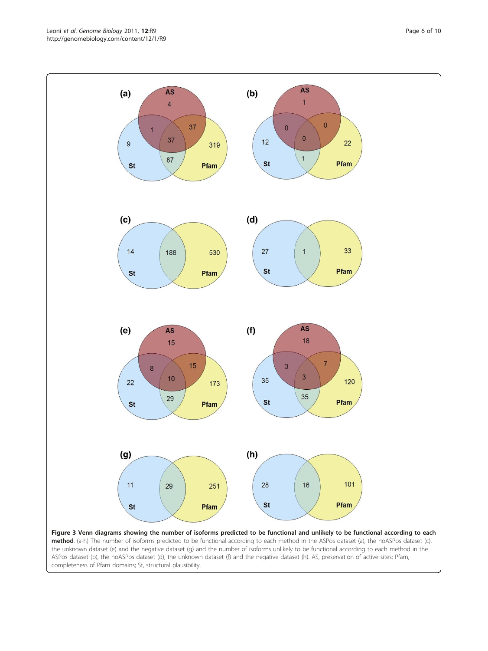<span id="page-5-0"></span>Leoni et al. Genome Biology 2011, <sup>12</sup>:R9 http://genomebiology.com/content/12/1/R9

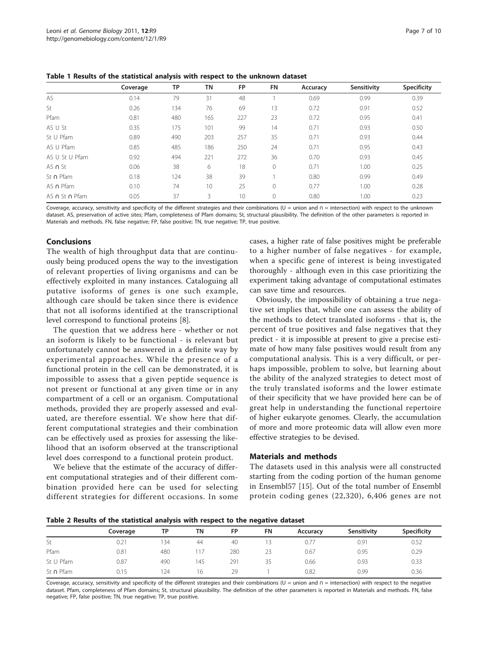<span id="page-6-0"></span>Table 1 Results of the statistical analysis with respect to the unknown dataset

|                    | Coverage | <b>TP</b> | TN  | <b>FP</b> | <b>FN</b> | Accuracy | Sensitivity | <b>Specificity</b> |
|--------------------|----------|-----------|-----|-----------|-----------|----------|-------------|--------------------|
| AS                 | 0.14     | 79        | 31  | 48        |           | 0.69     | 0.99        | 0.39               |
| St                 | 0.26     | 134       | 76  | 69        | 13        | 0.72     | 0.91        | 0.52               |
| Pfam               | 0.81     | 480       | 165 | 227       | 23        | 0.72     | 0.95        | 0.41               |
| AS U St            | 0.35     | 175       | 101 | 99        | 14        | 0.71     | 0.93        | 0.50               |
| St U Pfam          | 0.89     | 490       | 203 | 257       | 35        | 0.71     | 0.93        | 0.44               |
| AS U Pfam          | 0.85     | 485       | 186 | 250       | 24        | 0.71     | 0.95        | 0.43               |
| AS U St U Pfam     | 0.92     | 494       | 221 | 272       | 36        | 0.70     | 0.93        | 0.45               |
| $AS \cap St$       | 0.06     | 38        | 6   | 18        | 0         | 0.71     | 1.00        | 0.25               |
| St $\cap$ Pfam     | 0.18     | 124       | 38  | 39        |           | 0.80     | 0.99        | 0.49               |
| AS $n$ Pfam        | 0.10     | 74        | 10  | 25        | 0         | 0.77     | 1.00        | 0.28               |
| AS $n$ St $n$ Pfam | 0.05     | 37        | 3   | 10        | 0         | 0.80     | 1.00        | 0.23               |

Coverage, accuracy, sensitivity and specificity of the different strategies and their combinations (U = union and ∩ = intersection) with respect to the unknown dataset. AS, preservation of active sites; Pfam, completeness of Pfam domains; St, structural plausibility. The definition of the other parameters is reported in Materials and methods. FN, false negative; FP, false positive; TN, true negative; TP, true positive.

#### Conclusions

The wealth of high throughput data that are continuously being produced opens the way to the investigation of relevant properties of living organisms and can be effectively exploited in many instances. Cataloguing all putative isoforms of genes is one such example, although care should be taken since there is evidence that not all isoforms identified at the transcriptional level correspond to functional proteins [[8](#page-9-0)].

The question that we address here - whether or not an isoform is likely to be functional - is relevant but unfortunately cannot be answered in a definite way by experimental approaches. While the presence of a functional protein in the cell can be demonstrated, it is impossible to assess that a given peptide sequence is not present or functional at any given time or in any compartment of a cell or an organism. Computational methods, provided they are properly assessed and evaluated, are therefore essential. We show here that different computational strategies and their combination can be effectively used as proxies for assessing the likelihood that an isoform observed at the transcriptional level does correspond to a functional protein product.

We believe that the estimate of the accuracy of different computational strategies and of their different combination provided here can be used for selecting different strategies for different occasions. In some cases, a higher rate of false positives might be preferable to a higher number of false negatives - for example, when a specific gene of interest is being investigated thoroughly - although even in this case prioritizing the experiment taking advantage of computational estimates can save time and resources.

Obviously, the impossibility of obtaining a true negative set implies that, while one can assess the ability of the methods to detect translated isoforms - that is, the percent of true positives and false negatives that they predict - it is impossible at present to give a precise estimate of how many false positives would result from any computational analysis. This is a very difficult, or perhaps impossible, problem to solve, but learning about the ability of the analyzed strategies to detect most of the truly translated isoforms and the lower estimate of their specificity that we have provided here can be of great help in understanding the functional repertoire of higher eukaryote genomes. Clearly, the accumulation of more and more proteomic data will allow even more effective strategies to be devised.

# Materials and methods

The datasets used in this analysis were all constructed starting from the coding portion of the human genome in Ensembl57 [[15\]](#page-9-0). Out of the total number of Ensembl protein coding genes (22,320), 6,406 genes are not

| Table 2 Results of the statistical analysis with respect to the negative dataset |  |  |  |
|----------------------------------------------------------------------------------|--|--|--|
|----------------------------------------------------------------------------------|--|--|--|

|                 |          |           |     |           | -         |          |             |                    |
|-----------------|----------|-----------|-----|-----------|-----------|----------|-------------|--------------------|
|                 | Coverage | <b>TP</b> | TN  | <b>FP</b> | <b>FN</b> | Accuracy | Sensitivity | <b>Specificity</b> |
| St              | 0.21     | 134       | 44  | 40        |           | 0.77     | 0.91        | 0.52               |
| Pfam            | 0.81     | 480       |     | 280       | 23        | 0.67     | 0.95        | 0.29               |
| St U Pfam       | 0.87     | 490       | 145 | 291       | 35        | 0.66     | 0.93        | 0.33               |
| $St \n  n Pfam$ | 0.15     | 124       | 16  | 29        |           | 0.82     | 0.99        | 0.36               |

Coverage, accuracy, sensitivity and specificity of the different strategies and their combinations (U = union and  $\cap$  = intersection) with respect to the negative dataset. Pfam, completeness of Pfam domains; St, structural plausibility. The definition of the other parameters is reported in Materials and methods. FN, false negative; FP, false positive; TN, true negative; TP, true positive.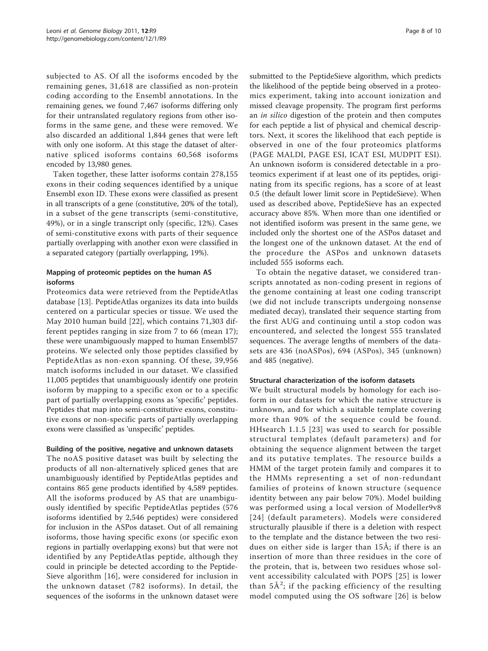subjected to AS. Of all the isoforms encoded by the remaining genes, 31,618 are classified as non-protein coding according to the Ensembl annotations. In the remaining genes, we found 7,467 isoforms differing only for their untranslated regulatory regions from other isoforms in the same gene, and these were removed. We also discarded an additional 1,844 genes that were left with only one isoform. At this stage the dataset of alternative spliced isoforms contains 60,568 isoforms encoded by 13,980 genes.

Taken together, these latter isoforms contain 278,155 exons in their coding sequences identified by a unique Ensembl exon ID. These exons were classified as present in all transcripts of a gene (constitutive, 20% of the total), in a subset of the gene transcripts (semi-constitutive, 49%), or in a single transcript only (specific, 12%). Cases of semi-constitutive exons with parts of their sequence partially overlapping with another exon were classified in a separated category (partially overlapping, 19%).

# Mapping of proteomic peptides on the human AS isoforms

Proteomics data were retrieved from the PeptideAtlas database [\[13](#page-9-0)]. PeptideAtlas organizes its data into builds centered on a particular species or tissue. We used the May 2010 human build [[22\]](#page-9-0), which contains 71,303 different peptides ranging in size from 7 to 66 (mean 17); these were unambiguously mapped to human Ensembl57 proteins. We selected only those peptides classified by PeptideAtlas as non-exon spanning. Of these, 39,956 match isoforms included in our dataset. We classified 11,005 peptides that unambiguously identify one protein isoform by mapping to a specific exon or to a specific part of partially overlapping exons as 'specific' peptides. Peptides that map into semi-constitutive exons, constitutive exons or non-specific parts of partially overlapping exons were classified as 'unspecific' peptides.

# Building of the positive, negative and unknown datasets

The noAS positive dataset was built by selecting the products of all non-alternatively spliced genes that are unambiguously identified by PeptideAtlas peptides and contains 865 gene products identified by 4,589 peptides. All the isoforms produced by AS that are unambiguously identified by specific PeptideAtlas peptides (576 isoforms identified by 2,546 peptides) were considered for inclusion in the ASPos dataset. Out of all remaining isoforms, those having specific exons (or specific exon regions in partially overlapping exons) but that were not identified by any PeptideAtlas peptide, although they could in principle be detected according to the Peptide-Sieve algorithm [[16\]](#page-9-0), were considered for inclusion in the unknown dataset (782 isoforms). In detail, the sequences of the isoforms in the unknown dataset were submitted to the PeptideSieve algorithm, which predicts the likelihood of the peptide being observed in a proteomics experiment, taking into account ionization and missed cleavage propensity. The program first performs an in silico digestion of the protein and then computes for each peptide a list of physical and chemical descriptors. Next, it scores the likelihood that each peptide is observed in one of the four proteomics platforms (PAGE MALDI, PAGE ESI, ICAT ESI, MUDPIT ESI). An unknown isoform is considered detectable in a proteomics experiment if at least one of its peptides, originating from its specific regions, has a score of at least 0.5 (the default lower limit score in PeptideSieve). When used as described above, PeptideSieve has an expected accuracy above 85%. When more than one identified or not identified isoform was present in the same gene, we included only the shortest one of the ASPos dataset and the longest one of the unknown dataset. At the end of the procedure the ASPos and unknown datasets included 555 isoforms each.

To obtain the negative dataset, we considered transcripts annotated as non-coding present in regions of the genome containing at least one coding transcript (we did not include transcripts undergoing nonsense mediated decay), translated their sequence starting from the first AUG and continuing until a stop codon was encountered, and selected the longest 555 translated sequences. The average lengths of members of the datasets are 436 (noASPos), 694 (ASPos), 345 (unknown) and 485 (negative).

# Structural characterization of the isoform datasets

We built structural models by homology for each isoform in our datasets for which the native structure is unknown, and for which a suitable template covering more than 90% of the sequence could be found. HHsearch 1.1.5 [[23](#page-9-0)] was used to search for possible structural templates (default parameters) and for obtaining the sequence alignment between the target and its putative templates. The resource builds a HMM of the target protein family and compares it to the HMMs representing a set of non-redundant families of proteins of known structure (sequence identity between any pair below 70%). Model building was performed using a local version of Modeller9v8 [[24](#page-9-0)] (default parameters). Models were considered structurally plausible if there is a deletion with respect to the template and the distance between the two residues on either side is larger than 15Å; if there is an insertion of more than three residues in the core of the protein, that is, between two residues whose solvent accessibility calculated with POPS [[25\]](#page-9-0) is lower than  $5\text{\AA}^2$ ; if the packing efficiency of the resulting model computed using the OS software [[26](#page-9-0)] is below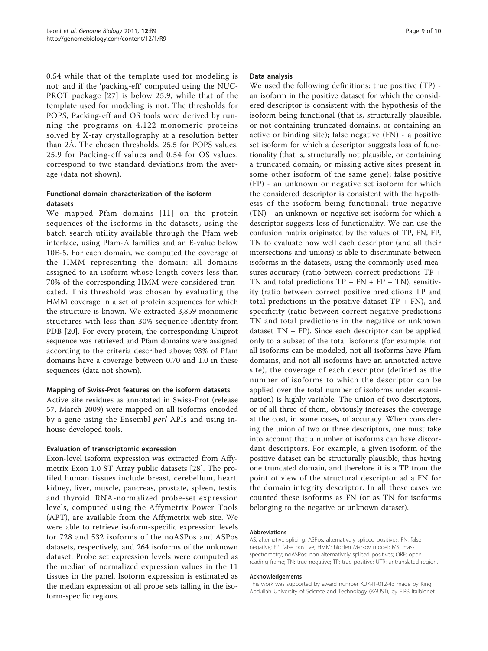0.54 while that of the template used for modeling is not; and if the 'packing-eff' computed using the NUC-PROT package [[27\]](#page-9-0) is below 25.9, while that of the template used for modeling is not. The thresholds for POPS, Packing-eff and OS tools were derived by running the programs on 4,122 monomeric proteins solved by X-ray crystallography at a resolution better than 2Å. The chosen thresholds, 25.5 for POPS values, 25.9 for Packing-eff values and 0.54 for OS values, correspond to two standard deviations from the average (data not shown).

# Functional domain characterization of the isoform datasets

We mapped Pfam domains [[11\]](#page-9-0) on the protein sequences of the isoforms in the datasets, using the batch search utility available through the Pfam web interface, using Pfam-A families and an E-value below 10E-5. For each domain, we computed the coverage of the HMM representing the domain: all domains assigned to an isoform whose length covers less than 70% of the corresponding HMM were considered truncated. This threshold was chosen by evaluating the HMM coverage in a set of protein sequences for which the structure is known. We extracted 3,859 monomeric structures with less than 30% sequence identity from PDB [[20\]](#page-9-0). For every protein, the corresponding Uniprot sequence was retrieved and Pfam domains were assigned according to the criteria described above; 93% of Pfam domains have a coverage between 0.70 and 1.0 in these sequences (data not shown).

# Mapping of Swiss-Prot features on the isoform datasets

Active site residues as annotated in Swiss-Prot (release 57, March 2009) were mapped on all isoforms encoded by a gene using the Ensembl perl APIs and using inhouse developed tools.

# Evaluation of transcriptomic expression

Exon-level isoform expression was extracted from Affymetrix Exon 1.0 ST Array public datasets [[28\]](#page-9-0). The profiled human tissues include breast, cerebellum, heart, kidney, liver, muscle, pancreas, prostate, spleen, testis, and thyroid. RNA-normalized probe-set expression levels, computed using the Affymetrix Power Tools (APT), are available from the Affymetrix web site. We were able to retrieve isoform-specific expression levels for 728 and 532 isoforms of the noASPos and ASPos datasets, respectively, and 264 isoforms of the unknown dataset. Probe set expression levels were computed as the median of normalized expression values in the 11 tissues in the panel. Isoform expression is estimated as the median expression of all probe sets falling in the isoform-specific regions.

#### Data analysis

We used the following definitions: true positive (TP) an isoform in the positive dataset for which the considered descriptor is consistent with the hypothesis of the isoform being functional (that is, structurally plausible, or not containing truncated domains, or containing an active or binding site); false negative (FN) - a positive set isoform for which a descriptor suggests loss of functionality (that is, structurally not plausible, or containing a truncated domain, or missing active sites present in some other isoform of the same gene); false positive (FP) - an unknown or negative set isoform for which the considered descriptor is consistent with the hypothesis of the isoform being functional; true negative (TN) - an unknown or negative set isoform for which a descriptor suggests loss of functionality. We can use the confusion matrix originated by the values of TP, FN, FP, TN to evaluate how well each descriptor (and all their intersections and unions) is able to discriminate between isoforms in the datasets, using the commonly used measures accuracy (ratio between correct predictions TP + TN and total predictions  $TP + FN + FP + TN$ ), sensitivity (ratio between correct positive predictions TP and total predictions in the positive dataset  $TP + FN$ , and specificity (ratio between correct negative predictions TN and total predictions in the negative or unknown dataset  $TN + FP$ ). Since each descriptor can be applied only to a subset of the total isoforms (for example, not all isoforms can be modeled, not all isoforms have Pfam domains, and not all isoforms have an annotated active site), the coverage of each descriptor (defined as the number of isoforms to which the descriptor can be applied over the total number of isoforms under examination) is highly variable. The union of two descriptors, or of all three of them, obviously increases the coverage at the cost, in some cases, of accuracy. When considering the union of two or three descriptors, one must take into account that a number of isoforms can have discordant descriptors. For example, a given isoform of the positive dataset can be structurally plausible, thus having one truncated domain, and therefore it is a TP from the point of view of the structural descriptor ad a FN for the domain integrity descriptor. In all these cases we counted these isoforms as FN (or as TN for isoforms belonging to the negative or unknown dataset).

#### Abbreviations

AS: alternative splicing; ASPos: alternatively spliced positives; FN: false negative; FP: false positive; HMM: hidden Markov model; MS: mass spectrometry; noASPos: non alternatively spliced positives; ORF: open reading frame; TN: true negative; TP: true positive; UTR: untranslated region.

#### Acknowledgements

This work was supported by award number KUK-I1-012-43 made by King Abdullah University of Science and Technology (KAUST), by FIRB Italbionet